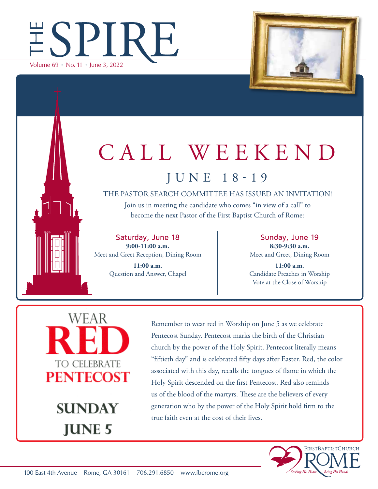



## CALL WEEKEND JUNE 18-19

THE PASTOR SEARCH COMMITTEE HAS ISSUED AN INVITATION!

Join us in meeting the candidate who comes "in view of a call" to become the next Pastor of the First Baptist Church of Rome:

Saturday, June 18 **9:00-11:00 a.m.**  Meet and Greet Reception, Dining Room

> **11:00 a.m.** Question and Answer, Chapel

Sunday, June 19 **8:30-9:30 a.m.** Meet and Greet, Dining Room

**11:00 a.m.** Candidate Preaches in Worship Vote at the Close of Worship

WEAR TO CELEBRATE **PENTECOST** 

> **SUNDAY JUNE 5**

Remember to wear red in Worship on June 5 as we celebrate Pentecost Sunday. Pentecost marks the birth of the Christian church by the power of the Holy Spirit. Pentecost literally means "fiftieth day" and is celebrated fifty days after Easter. Red, the color associated with this day, recalls the tongues of flame in which the Holy Spirit descended on the first Pentecost. Red also reminds us of the blood of the martyrs. These are the believers of every generation who by the power of the Holy Spirit hold firm to the true faith even at the cost of their lives.

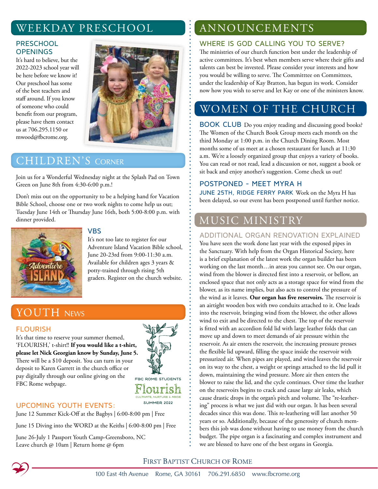## WEEKDAY PRESCHOOL

#### **PRESCHOOL OPENINGS**

It's hard to believe, but the 2022-2023 school year will be here before we know it! Our preschool has some of the best teachers and staff around. If you know of someone who could benefit from our program, please have them contact us at 706.295.1150 or mwood@fbcrome.org.



## **CHILDREN'S CORNER**

Join us for a Wonderful Wednesday night at the Splash Pad on Town Green on June 8th from 4:30-6:00 p.m.!

Don't miss out on the opportunity to be a helping hand for Vacation Bible School, choose one or two work nights to come help us out; Tuesday June 14th or Thursday June 16th, both 5:00-8:00 p.m. with dinner provided.



#### VBS

It's not too late to register for our Adventure Island Vacation Bible school, June 20-23rd from 9:00-11:30 a.m. Available for children ages 3 years & potty-trained through rising 5th graders. Register on the church website.

## YOUTH NEWS

#### FLOURISH

It's that time to reserve your summer themed, 'FLOURISH,' t-shirt!! **If you would like a t-shirt, please let Nick Georgian know by Sunday, June 5.** There will be a \$10 deposit. You can turn in your deposit to Karen Garrett in the church office or pay digitally through our online giving on the FBC Rome webpage.



CULTIVATE NUPTURE & ABIDE SUMMER 2022

#### UPCOMING YOUTH EVENTS:

June 12 Summer Kick-Off at the Bagbys | 6:00-8:00 pm | Free

June 15 Diving into the WORD at the Keiths | 6:00-8:00 pm | Free

June 26-July 1 Passport Youth Camp-Greensboro, NC Leave church @ 10am | Return home @ 6pm

## ANNOUNCEMENTS

#### WHERE IS GOD CALLING YOU TO SERVE?

The ministries of our church function best under the leadership of active committees. It's best when members serve where their gifts and talents can best be invested. Please consider your interests and how you would be willing to serve. The Committee on Committees, under the leadership of Kay Bratton, has begun its work. Consider now how you wish to serve and let Kay or one of the ministers know.

## WOMEN OF THE CHURCH

BOOK CLUB Do you enjoy reading and discussing good books? The Women of the Church Book Group meets each month on the third Monday at 1:00 p.m. in the Church Dining Room. Most months some of us meet at a chosen restaurant for lunch at 11:30 a.m. We're a loosely organized group that enjoys a variety of books. You can read or not read, lead a discussion or not, suggest a book or sit back and enjoy another's suggestion. Come check us out!

#### POSTPONED - MEET MYRA H

JUNE 25TH, RIDGE FERRY PARK Work on the Myra H has been delayed, so our event has been postponed until further notice.

## MUSIC MINISTRY

#### ADDITIONAL ORGAN RENOVATION EXPLAINED

You have seen the work done last year with the exposed pipes in the Sanctuary. With help from the Organ Historical Society, here is a brief explanation of the latest work the organ builder has been working on the last month…in areas you cannot see. On our organ, wind from the blower is directed first into a reservoir, or bellow, an enclosed space that not only acts as a storage space for wind from the blower, as its name implies, but also acts to control the pressure of the wind as it leaves. **Our organ has five reservoirs.** The reservoir is an airtight wooden box with two conduits attached to it. One leads into the reservoir, bringing wind from the blower, the other allows wind to exit and be directed to the chest. The top of the reservoir is fitted with an accordion fold lid with large leather folds that can move up and down to meet demands of air pressure within the reservoir. As air enters the reservoir, the increasing pressure presses the flexible lid upward, filling the space inside the reservoir with pressurized air. When pipes are played, and wind leaves the reservoir on its way to the chest, a weight or springs attached to the lid pull it down, maintaining the wind pressure. More air then enters the blower to raise the lid, and the cycle continues. Over time the leather on the reservoirs begins to crack and cause large air leaks, which cause drastic drops in the organ's pitch and volume. The "re-leathering" process is what we just did with our organ. It has been several decades since this was done. This re-leathering will last another 50 years or so. Additionally, because of the generosity of church members this job was done without having to use money from the church budget. The pipe organ is a fascinating and complex instrument and we are blessed to have one of the best organs in Georgia.

#### FIRST BAPTIST CHURCH OF ROME



100 East 4th Avenue Rome, GA 30161 706.291.6850 www.fbcrome.org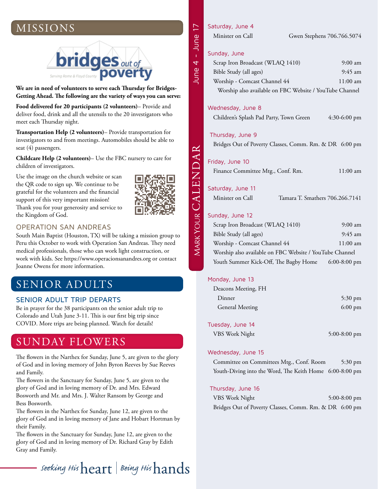## MISSIONS



**We are in need of volunteers to serve each Thursday for Bridges-Getting Ahead. The following are the variety of ways you can serve:** 

**Food delivered for 20 participants (2 volunteers)**– Provide and deliver food, drink and all the utensils to the 20 investigators who meet each Thursday night.

**Transportation Help (2 volunteers)**– Provide transportation for investigators to and from meetings. Automobiles should be able to seat (4) passengers.

**Childcare Help (2 volunteers)**– Use the FBC nursery to care for children of investigators.

Use the image on the church website or scan the QR code to sign up. We continue to be grateful for the volunteers and the financial support of this very important mission! Thank you for your generosity and service to the Kingdom of God.



#### OPERATION SAN ANDREAS

South Main Baptist (Houston, TX) will be taking a mission group to Peru this October to work with Operation San Andreas. They need medical professionals, those who can work light construction, or work with kids. See https://www.operacionsanandres.org or contact Joanne Owens for more information.

## SENIOR ADULTS

#### SENIOR ADULT TRIP DEPARTS

Be in prayer for the 38 participants on the senior adult trip to Colorado and Utah June 3-11. This is our first big trip since COVID. More trips are being planned. Watch for details!

### SUNDAY FLOWERS

The flowers in the Narthex for Sunday, June 5, are given to the glory of God and in loving memory of John Byron Reeves by Sue Reeves and Family.

The flowers in the Sanctuary for Sunday, June 5, are given to the glory of God and in loving memory of Dr. and Mrs. Edward Bosworth and Mr. and Mrs. J. Walter Ransom by George and Bess Bosworth.

The flowers in the Narthex for Sunday, June 12, are given to the glory of God and in loving memory of Jane and Hobart Hortman by their Family.

The flowers in the Sanctuary for Sunday, June 12, are given to the glory of God and in loving memory of Dr. Richard Gray by Edith Gray and Family.

## - seeking His  $\operatorname{heart} \mid$  Being His  $\operatorname{lands}$

#### Saturday, June 4

| Minister on Call | Gwen Stephens 706.766.5074 |
|------------------|----------------------------|
|                  |                            |

#### Sunday, June

June 4 - June 17

June 4 - June

 $\overline{17}$ 

| Scrap Iron Broadcast (WLAQ 1410)                        | $9:00 \text{ am}$  |
|---------------------------------------------------------|--------------------|
| Bible Study (all ages)                                  | $9:45$ am          |
| Worship - Comcast Channel 44                            | $11:00 \text{ am}$ |
| Worship also available on FBC Website / YouTube Channel |                    |

#### Wednesday, June 8

Children's Splash Pad Party, Town Green 4:30-6:00 pm

#### Thursday, June 9

Bridges Out of Poverty Classes, Comm. Rm. & DR 6:00 pm

#### Friday, June 10

Finance Committee Mtg., Conf. Rm. 11:00 am

#### Saturday, June 11

Minister on Call Tamara T. Smathers 706.266.7141

#### Sunday, June 12

| Scrap Iron Broadcast (WLAQ 1410)                        | $9:00 \text{ am}$ |
|---------------------------------------------------------|-------------------|
| Bible Study (all ages)                                  | $9:45$ am         |
| Worship - Comcast Channel 44                            | $11:00$ am        |
| Worship also available on FBC Website / YouTube Channel |                   |
| Youth Summer Kick-Off, The Bagby Home                   | $6:00-8:00$ pm    |

#### Monday, June 13

| Deacons Meeting, FH    |                   |
|------------------------|-------------------|
| Dinner                 | $5:30 \text{ pm}$ |
| <b>General Meeting</b> | $6:00 \text{ pm}$ |

#### Tuesday, June 14

| $5:00-8:00$ pm |
|----------------|
|                |

#### Wednesday, June 15

Committee on Committees Mtg., Conf. Room 5:30 pm Youth-Diving into the Word, The Keith Home 6:00-8:00 pm

#### Thursday, June 16

| VBS Work Night                                         |  | $5:00-8:00$ pm |  |
|--------------------------------------------------------|--|----------------|--|
| Bridges Out of Poverty Classes, Comm. Rm. & DR 6:00 pm |  |                |  |

MARK YOUR CALENDAR